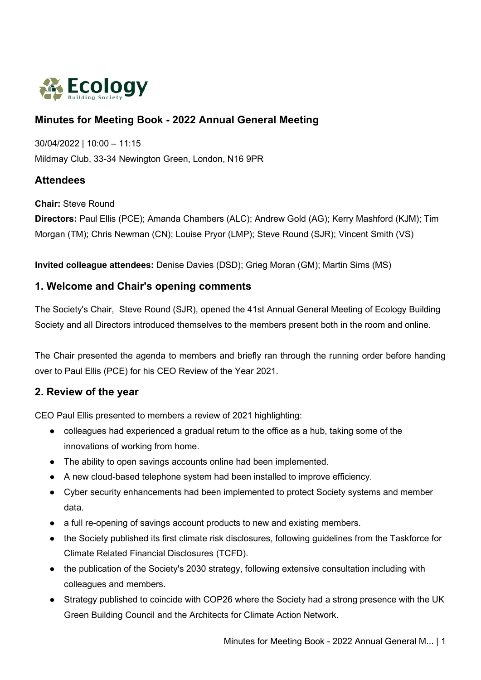

# **Minutes for Meeting Book - 2022 Annual General Meeting**

30/04/2022 | 10:00 – 11:15 Mildmay Club, 33-34 Newington Green, London, N16 9PR

#### **Attendees**

**Chair:** Steve Round

**Directors:** Paul Ellis (PCE); Amanda Chambers (ALC); Andrew Gold (AG); Kerry Mashford (KJM); Tim Morgan (TM); Chris Newman (CN); Louise Pryor (LMP); Steve Round (SJR); Vincent Smith (VS)

**Invited colleague attendees:** Denise Davies (DSD); Grieg Moran (GM); Martin Sims (MS)

#### **1. Welcome and Chair's opening comments**

The Society's Chair, Steve Round (SJR), opened the 41st Annual General Meeting of Ecology Building Society and all Directors introduced themselves to the members present both in the room and online.

The Chair presented the agenda to members and briefly ran through the running order before handing over to Paul Ellis (PCE) for his CEO Review of the Year 2021.

#### **2. Review of the year**

CEO Paul Ellis presented to members a review of 2021 highlighting:

- colleagues had experienced a gradual return to the office as a hub, taking some of the innovations of working from home.
- The ability to open savings accounts online had been implemented.
- A new cloud-based telephone system had been installed to improve efficiency.
- Cyber security enhancements had been implemented to protect Society systems and member data.
- a full re-opening of savings account products to new and existing members.
- the Society published its first climate risk disclosures, following guidelines from the Taskforce for Climate Related Financial Disclosures (TCFD).
- the publication of the Society's 2030 strategy, following extensive consultation including with colleagues and members.
- Strategy published to coincide with COP26 where the Society had a strong presence with the UK Green Building Council and the Architects for Climate Action Network.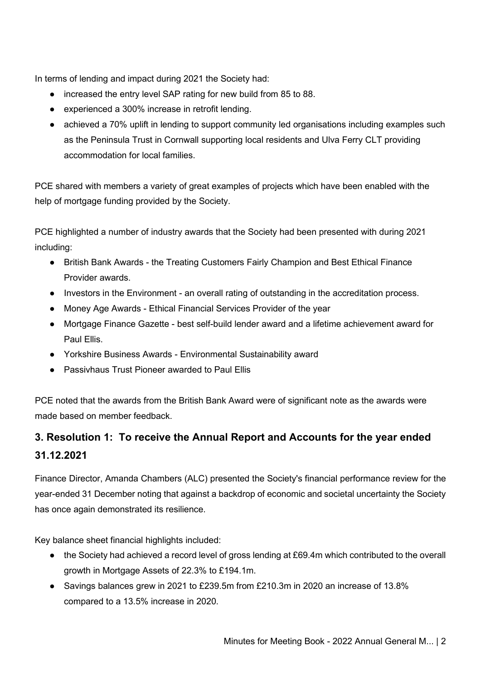In terms of lending and impact during 2021 the Society had:

- increased the entry level SAP rating for new build from 85 to 88.
- experienced a 300% increase in retrofit lending.
- achieved a 70% uplift in lending to support community led organisations including examples such as the Peninsula Trust in Cornwall supporting local residents and Ulva Ferry CLT providing accommodation for local families.

PCE shared with members a variety of great examples of projects which have been enabled with the help of mortgage funding provided by the Society.

PCE highlighted a number of industry awards that the Society had been presented with during 2021 including:

- British Bank Awards the Treating Customers Fairly Champion and Best Ethical Finance Provider awards.
- Investors in the Environment an overall rating of outstanding in the accreditation process.
- Money Age Awards Ethical Financial Services Provider of the year
- Mortgage Finance Gazette best self-build lender award and a lifetime achievement award for Paul Ellis.
- Yorkshire Business Awards Environmental Sustainability award
- **Passivhaus Trust Pioneer awarded to Paul Filis**

PCE noted that the awards from the British Bank Award were of significant note as the awards were made based on member feedback.

# **3. Resolution 1: To receive the Annual Report and Accounts for the year ended 31.12.2021**

Finance Director, Amanda Chambers (ALC) presented the Society's financial performance review for the year-ended 31 December noting that against a backdrop of economic and societal uncertainty the Society has once again demonstrated its resilience.

Key balance sheet financial highlights included:

- the Society had achieved a record level of gross lending at £69.4m which contributed to the overall growth in Mortgage Assets of 22.3% to £194.1m.
- Savings balances grew in 2021 to £239.5m from £210.3m in 2020 an increase of 13.8% compared to a 13.5% increase in 2020.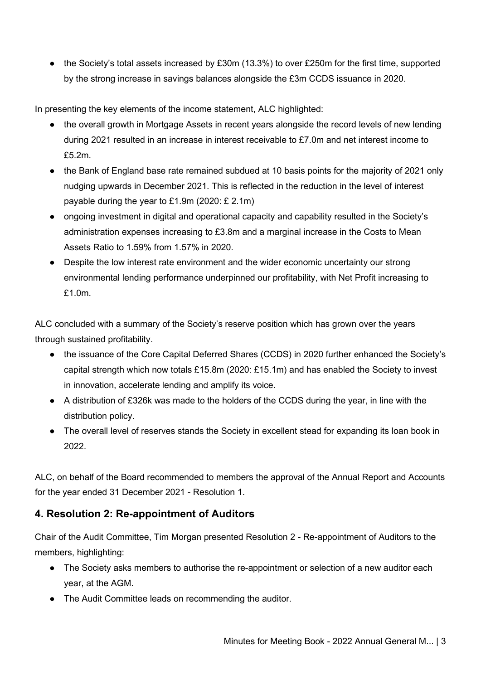● the Society's total assets increased by £30m (13.3%) to over £250m for the first time, supported by the strong increase in savings balances alongside the £3m CCDS issuance in 2020.

In presenting the key elements of the income statement, ALC highlighted:

- the overall growth in Mortgage Assets in recent years alongside the record levels of new lending during 2021 resulted in an increase in interest receivable to £7.0m and net interest income to £5.2m.
- the Bank of England base rate remained subdued at 10 basis points for the majority of 2021 only nudging upwards in December 2021. This is reflected in the reduction in the level of interest payable during the year to £1.9m (2020: £ 2.1m)
- ongoing investment in digital and operational capacity and capability resulted in the Society's administration expenses increasing to £3.8m and a marginal increase in the Costs to Mean Assets Ratio to 1.59% from 1.57% in 2020.
- Despite the low interest rate environment and the wider economic uncertainty our strong environmental lending performance underpinned our profitability, with Net Profit increasing to £1.0m.

ALC concluded with a summary of the Society's reserve position which has grown over the years through sustained profitability.

- the issuance of the Core Capital Deferred Shares (CCDS) in 2020 further enhanced the Society's capital strength which now totals £15.8m (2020: £15.1m) and has enabled the Society to invest in innovation, accelerate lending and amplify its voice.
- A distribution of £326k was made to the holders of the CCDS during the year, in line with the distribution policy.
- The overall level of reserves stands the Society in excellent stead for expanding its loan book in 2022.

ALC, on behalf of the Board recommended to members the approval of the Annual Report and Accounts for the year ended 31 December 2021 - Resolution 1.

## **4. Resolution 2: Re-appointment of Auditors**

Chair of the Audit Committee, Tim Morgan presented Resolution 2 - Re-appointment of Auditors to the members, highlighting:

- The Society asks members to authorise the re-appointment or selection of a new auditor each year, at the AGM.
- The Audit Committee leads on recommending the auditor.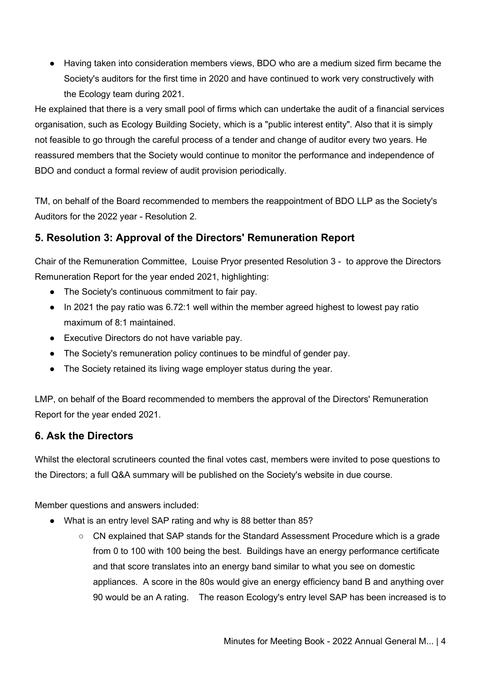● Having taken into consideration members views, BDO who are a medium sized firm became the Society's auditors for the first time in 2020 and have continued to work very constructively with the Ecology team during 2021.

He explained that there is a very small pool of firms which can undertake the audit of a financial services organisation, such as Ecology Building Society, which is a "public interest entity". Also that it is simply not feasible to go through the careful process of a tender and change of auditor every two years. He reassured members that the Society would continue to monitor the performance and independence of BDO and conduct a formal review of audit provision periodically.

TM, on behalf of the Board recommended to members the reappointment of BDO LLP as the Society's Auditors for the 2022 year - Resolution 2.

# **5. Resolution 3: Approval of the Directors' Remuneration Report**

Chair of the Remuneration Committee, Louise Pryor presented Resolution 3 - to approve the Directors Remuneration Report for the year ended 2021, highlighting:

- The Society's continuous commitment to fair pay.
- In 2021 the pay ratio was 6.72:1 well within the member agreed highest to lowest pay ratio maximum of 8:1 maintained.
- Executive Directors do not have variable pay.
- The Society's remuneration policy continues to be mindful of gender pay.
- The Society retained its living wage employer status during the year.

LMP, on behalf of the Board recommended to members the approval of the Directors' Remuneration Report for the year ended 2021.

## **6. Ask the Directors**

Whilst the electoral scrutineers counted the final votes cast, members were invited to pose questions to the Directors; a full Q&A summary will be published on the Society's website in due course.

Member questions and answers included:

- What is an entry level SAP rating and why is 88 better than 85?
	- CN explained that SAP stands for the Standard Assessment Procedure which is a grade from 0 to 100 with 100 being the best. Buildings have an energy performance certificate and that score translates into an energy band similar to what you see on domestic appliances. A score in the 80s would give an energy efficiency band B and anything over 90 would be an A rating. The reason Ecology's entry level SAP has been increased is to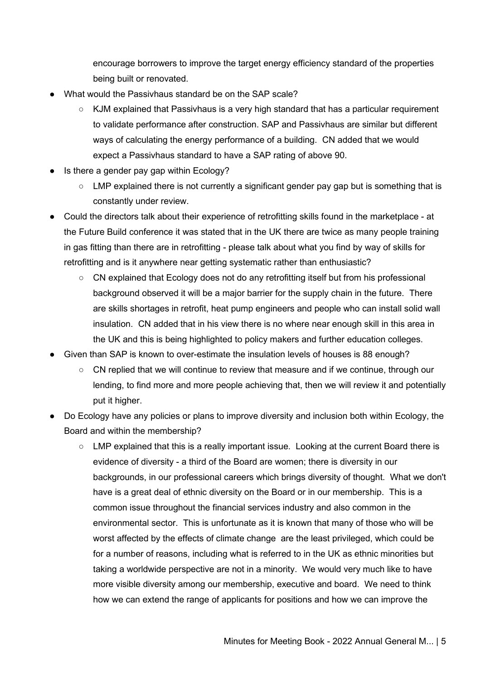encourage borrowers to improve the target energy efficiency standard of the properties being built or renovated.

- What would the Passivhaus standard be on the SAP scale?
	- KJM explained that Passivhaus is a very high standard that has a particular requirement to validate performance after construction. SAP and Passivhaus are similar but different ways of calculating the energy performance of a building. CN added that we would expect a Passivhaus standard to have a SAP rating of above 90.
- Is there a gender pay gap within Ecology?
	- LMP explained there is not currently a significant gender pay gap but is something that is constantly under review.
- Could the directors talk about their experience of retrofitting skills found in the marketplace at the Future Build conference it was stated that in the UK there are twice as many people training in gas fitting than there are in retrofitting - please talk about what you find by way of skills for retrofitting and is it anywhere near getting systematic rather than enthusiastic?
	- CN explained that Ecology does not do any retrofitting itself but from his professional background observed it will be a major barrier for the supply chain in the future. There are skills shortages in retrofit, heat pump engineers and people who can install solid wall insulation. CN added that in his view there is no where near enough skill in this area in the UK and this is being highlighted to policy makers and further education colleges.
- Given than SAP is known to over-estimate the insulation levels of houses is 88 enough?
	- CN replied that we will continue to review that measure and if we continue, through our lending, to find more and more people achieving that, then we will review it and potentially put it higher.
- Do Ecology have any policies or plans to improve diversity and inclusion both within Ecology, the Board and within the membership?
	- $\circ$  LMP explained that this is a really important issue. Looking at the current Board there is evidence of diversity - a third of the Board are women; there is diversity in our backgrounds, in our professional careers which brings diversity of thought. What we don't have is a great deal of ethnic diversity on the Board or in our membership. This is a common issue throughout the financial services industry and also common in the environmental sector. This is unfortunate as it is known that many of those who will be worst affected by the effects of climate change are the least privileged, which could be for a number of reasons, including what is referred to in the UK as ethnic minorities but taking a worldwide perspective are not in a minority. We would very much like to have more visible diversity among our membership, executive and board. We need to think how we can extend the range of applicants for positions and how we can improve the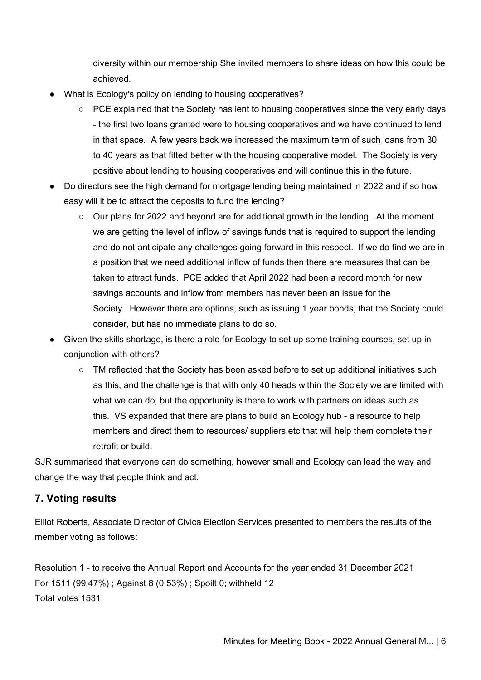diversity within our membership She invited members to share ideas on how this could be achieved.

- What is Ecology's policy on lending to housing cooperatives?
	- PCE explained that the Society has lent to housing cooperatives since the very early days - the first two loans granted were to housing cooperatives and we have continued to lend in that space. A few years back we increased the maximum term of such loans from 30 to 40 years as that fitted better with the housing cooperative model. The Society is very positive about lending to housing cooperatives and will continue this in the future.
- Do directors see the high demand for mortgage lending being maintained in 2022 and if so how easy will it be to attract the deposits to fund the lending?
	- Our plans for 2022 and beyond are for additional growth in the lending. At the moment we are getting the level of inflow of savings funds that is required to support the lending and do not anticipate any challenges going forward in this respect. If we do find we are in a position that we need additional inflow of funds then there are measures that can be taken to attract funds. PCE added that April 2022 had been a record month for new savings accounts and inflow from members has never been an issue for the Society. However there are options, such as issuing 1 year bonds, that the Society could consider, but has no immediate plans to do so.
- Given the skills shortage, is there a role for Ecology to set up some training courses, set up in conjunction with others?
	- TM reflected that the Society has been asked before to set up additional initiatives such as this, and the challenge is that with only 40 heads within the Society we are limited with what we can do, but the opportunity is there to work with partners on ideas such as this. VS expanded that there are plans to build an Ecology hub - a resource to help members and direct them to resources/ suppliers etc that will help them complete their retrofit or build.

SJR summarised that everyone can do something, however small and Ecology can lead the way and change the way that people think and act.

## **7. Voting results**

Elliot Roberts, Associate Director of Civica Election Services presented to members the results of the member voting as follows:

Resolution 1 - to receive the Annual Report and Accounts for the year ended 31 December 2021 For 1511 (99.47%) ; Against 8 (0.53%) ; Spoilt 0; withheld 12 Total votes 1531